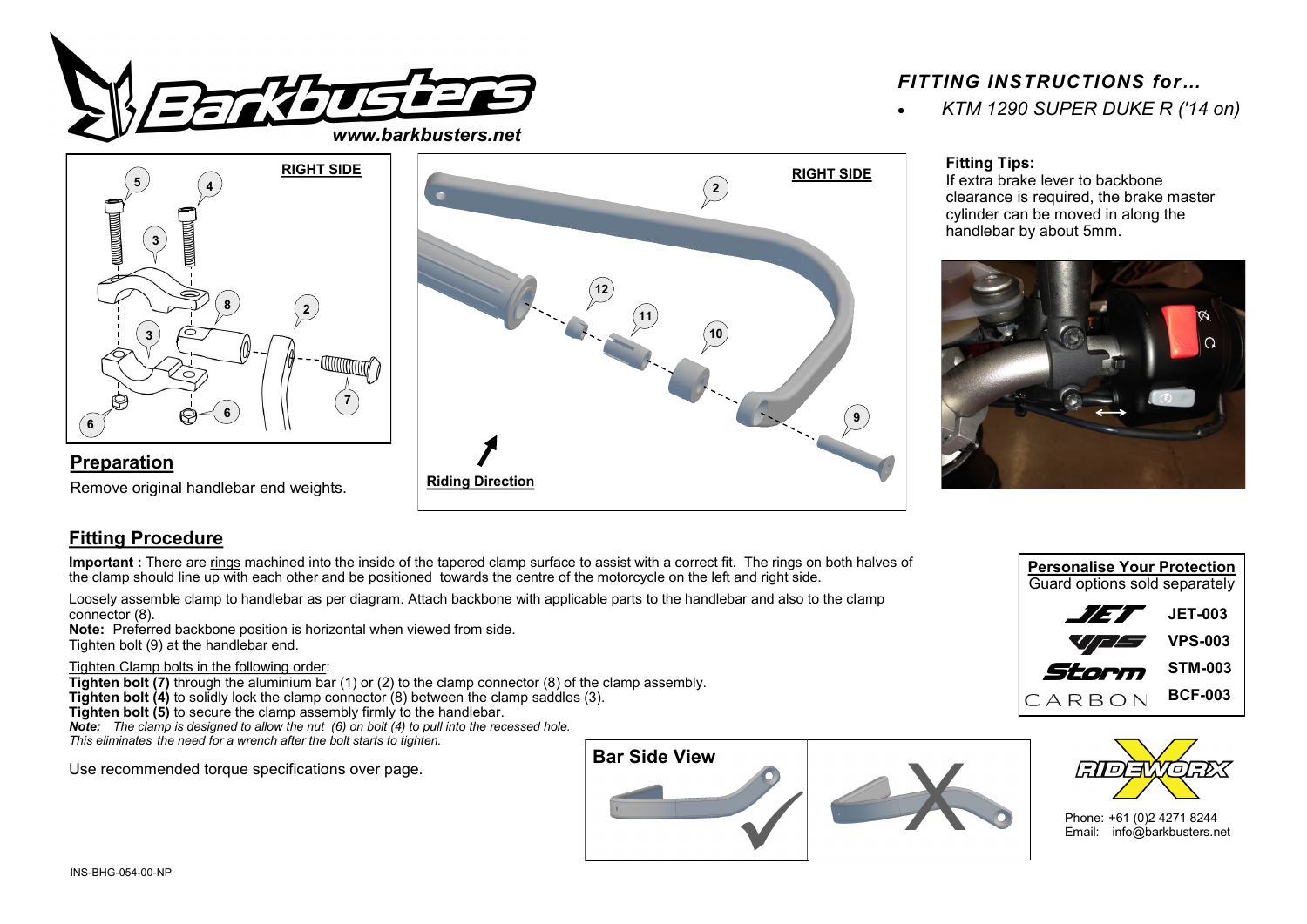

## *FITTING INSTRUCTIONS for…*

• *KTM 1290 SUPER DUKE R ('14 on)*



## **Preparation**

Remove original handlebar end weights.



### **Fitting Tips:**

If extra brake lever to backbone clearance is required, the brake master cylinder can be moved in along the handlebar by about 5mm.



# **Fitting Procedure**

**Important :** There are rings machined into the inside of the tapered clamp surface to assist with a correct fit. The rings on both halves of the clamp should line up with each other and be positioned towards the centre of the motorcycle on the left and right side.

Loosely assemble clamp to handlebar as per diagram. Attach backbone with applicable parts to the handlebar and also to the clamp connector (8).

**Note:** Preferred backbone position is horizontal when viewed from side. Tighten bolt (9) at the handlebar end.

#### Tighten Clamp bolts in the following order:

**Tighten bolt (7)** through the aluminium bar (1) or (2) to the clamp connector (8) of the clamp assembly. **Tighten bolt (4)** to solidly lock the clamp connector (8) between the clamp saddles (3). **Tighten bolt (5)** to secure the clamp assembly firmly to the handlebar. *Note: The clamp is designed to allow the nut (6) on bolt (4) to pull into the recessed hole. This eliminates the need for a wrench after the bolt starts to tighten.*

Use recommended torque specifications over page.







Phone: +61 (0)2 4271 8244 Email: info@barkbusters.net